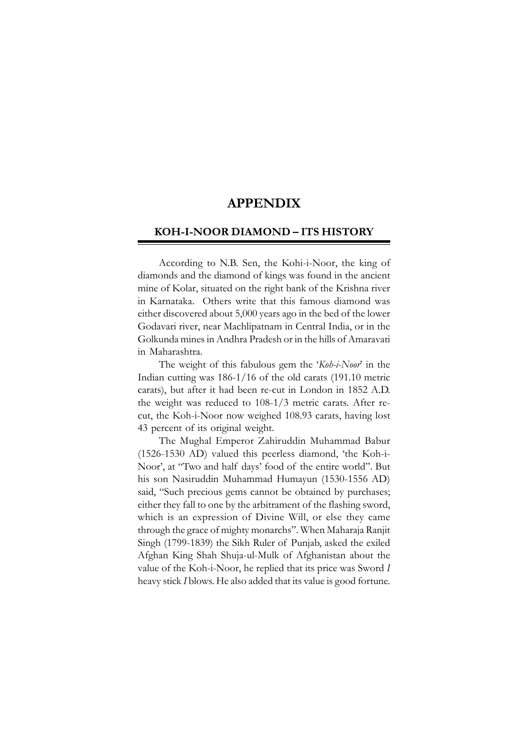# **APPENDIX**

## **KOH-I-NOOR DIAMOND – ITS HISTORY**

According to N.B. Sen, the Kohi-i-Noor, the king of diamonds and the diamond of kings was found in the ancient mine of Kolar, situated on the right bank of the Krishna river in Karnataka. Others write that this famous diamond was either discovered about 5,000 years ago in the bed of the lower Godavari river, near Machlipatnam in Central India, or in the Golkunda mines in Andhra Pradesh or in the hills of Amaravati in Maharashtra.

The weight of this fabulous gem the '*Koh-i-Noor*' in the Indian cutting was 186-1/16 of the old carats (191.10 metric carats), but after it had been re-cut in London in 1852 A.D. the weight was reduced to 108-1/3 metric carats. After recut, the Koh-i-Noor now weighed 108.93 carats, having lost 43 percent of its original weight.

The Mughal Emperor Zahiruddin Muhammad Babur (1526-1530 AD) valued this peerless diamond, 'the Koh-i-Noor', at "Two and half days' food of the entire world". But his son Nasiruddin Muhammad Humayun (1530-1556 AD) said, "Such precious gems cannot be obtained by purchases; either they fall to one by the arbitrament of the flashing sword, which is an expression of Divine Will, or else they came through the grace of mighty monarchs". When Maharaja Ranjit Singh (1799-1839) the Sikh Ruler of Punjab, asked the exiled Afghan King Shah Shuja-ul-Mulk of Afghanistan about the value of the Koh-i-Noor, he replied that its price was Sword *I* heavy stick *I* blows. He also added that its value is good fortune.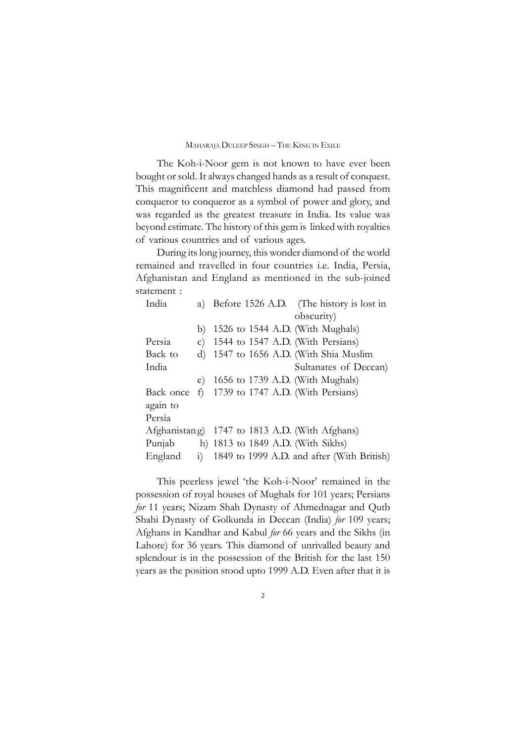The Koh-i-Noor gem is not known to have ever been bought or sold. It always changed hands as a result of conquest. This magnificent and matchless diamond had passed from conqueror to conqueror as a symbol of power and glory, and was regarded as the greatest treasure in India. Its value was beyond estimate. The history of this gem is linked with royalties of various countries and of various ages.

During its long journey, this wonder diamond of the world remained and travelled in four countries i.e. India, Persia, Afghanistan and England as mentioned in the sub-joined statement :

|  | India     |                              |                                                | a) Before 1526 A.D. (The history is lost in |
|--|-----------|------------------------------|------------------------------------------------|---------------------------------------------|
|  |           |                              |                                                | obscurity)                                  |
|  |           | b)                           |                                                | 1526 to 1544 A.D. (With Mughals)            |
|  | Persia    | $\mathsf{C}$ )               |                                                | 1544 to 1547 A.D. (With Persians)           |
|  | Back to   | $\mathbf{d}$                 |                                                | 1547 to 1656 A.D. (With Shia Muslim         |
|  | India     |                              |                                                | Sultanates of Deccan)                       |
|  |           | e)                           |                                                | 1656 to 1739 A.D. (With Mughals)            |
|  | Back once | f                            |                                                | 1739 to 1747 A.D. (With Persians)           |
|  | again to  |                              |                                                |                                             |
|  | Persia    |                              |                                                |                                             |
|  |           |                              | Afghanistang) 1747 to 1813 A.D. (With Afghans) |                                             |
|  | Punjab    |                              |                                                | h) 1813 to 1849 A.D. (With Sikhs)           |
|  | England   | $\left( \frac{1}{2} \right)$ |                                                | 1849 to 1999 A.D. and after (With British)  |
|  |           |                              |                                                |                                             |

This peerless jewel 'the Koh-i-Noor' remained in the possession of royal houses of Mughals for 101 years; Persians *for* 11 years; Nizam Shah Dynasty of Ahmednagar and Qutb Shahi Dynasty of Golkunda in Deccan (India) *for* 109 years; Afghans in Kandhar and Kabul *for* 66 years and the Sikhs (in Lahore) for 36 years. This diamond of unrivalled beauty and splendour is in the possession of the British for the last 150 years as the position stood upto 1999 A.D. Even after that it is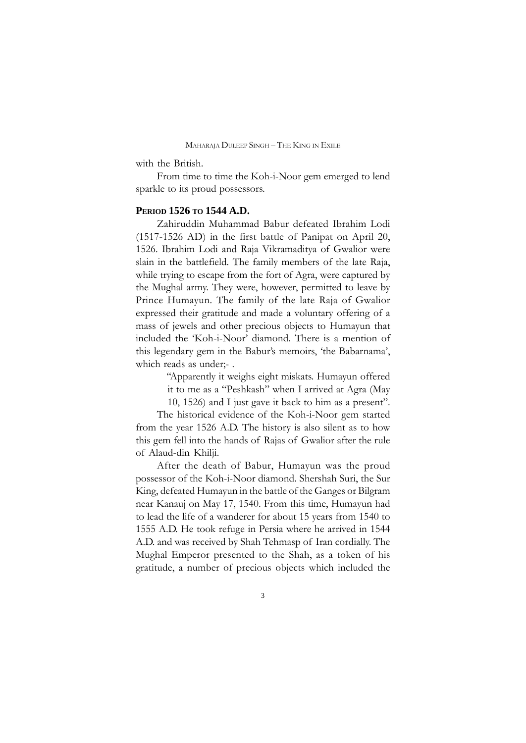with the British.

From time to time the Koh-i-Noor gem emerged to lend sparkle to its proud possessors.

### **PERIOD 1526 TO 1544 A.D.**

Zahiruddin Muhammad Babur defeated Ibrahim Lodi (1517-1526 AD) in the first battle of Panipat on April 20, 1526. Ibrahim Lodi and Raja Vikramaditya of Gwalior were slain in the battlefield. The family members of the late Raja, while trying to escape from the fort of Agra, were captured by the Mughal army. They were, however, permitted to leave by Prince Humayun. The family of the late Raja of Gwalior expressed their gratitude and made a voluntary offering of a mass of jewels and other precious objects to Humayun that included the 'Koh-i-Noor' diamond. There is a mention of this legendary gem in the Babur's memoirs, 'the Babarnama', which reads as under;- .

> "Apparently it weighs eight miskats. Humayun offered it to me as a "Peshkash" when I arrived at Agra (May 10, 1526) and I just gave it back to him as a present".

The historical evidence of the Koh-i-Noor gem started from the year 1526 A.D. The history is also silent as to how this gem fell into the hands of Rajas of Gwalior after the rule of Alaud-din Khilji.

After the death of Babur, Humayun was the proud possessor of the Koh-i-Noor diamond. Shershah Suri, the Sur King, defeated Humayun in the battle of the Ganges or Bilgram near Kanauj on May 17, 1540. From this time, Humayun had to lead the life of a wanderer for about 15 years from 1540 to 1555 A.D. He took refuge in Persia where he arrived in 1544 A.D. and was received by Shah Tehmasp of Iran cordially. The Mughal Emperor presented to the Shah, as a token of his gratitude, a number of precious objects which included the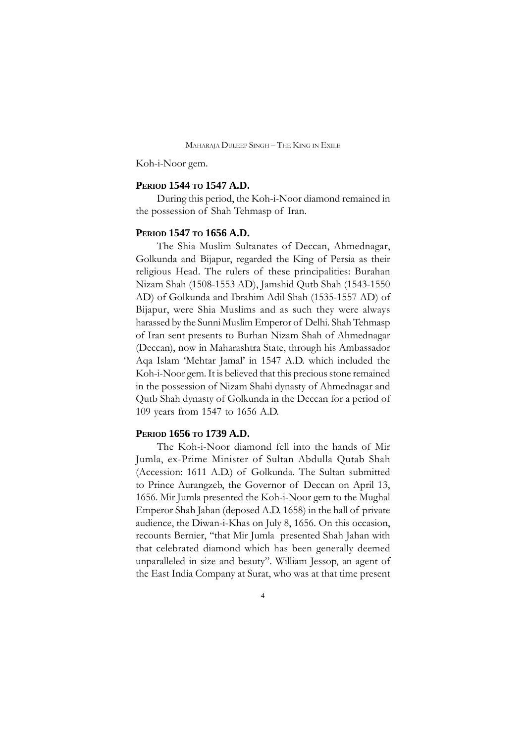Koh-i-Noor gem.

# **PERIOD 1544 TO 1547 A.D.**

During this period, the Koh-i-Noor diamond remained in the possession of Shah Tehmasp of Iran.

## **PERIOD 1547 TO 1656 A.D.**

The Shia Muslim Sultanates of Deccan, Ahmednagar, Golkunda and Bijapur, regarded the King of Persia as their religious Head. The rulers of these principalities: Burahan Nizam Shah (1508-1553 AD), Jamshid Qutb Shah (1543-1550 AD) of Golkunda and Ibrahim Adil Shah (1535-1557 AD) of Bijapur, were Shia Muslims and as such they were always harassed by the Sunni Muslim Emperor of Delhi. Shah Tehmasp of Iran sent presents to Burhan Nizam Shah of Ahmednagar (Deccan), now in Maharashtra State, through his Ambassador Aqa Islam 'Mehtar Jamal' in 1547 A.D. which included the Koh-i-Noor gem. It is believed that this precious stone remained in the possession of Nizam Shahi dynasty of Ahmednagar and Qutb Shah dynasty of Golkunda in the Deccan for a period of 109 years from 1547 to 1656 A.D.

## **PERIOD 1656 TO 1739 A.D.**

The Koh-i-Noor diamond fell into the hands of Mir Jumla, ex-Prime Minister of Sultan Abdulla Qutab Shah (Accession: 1611 A.D.) of Golkunda. The Sultan submitted to Prince Aurangzeb, the Governor of Deccan on April 13, 1656. Mir Jumla presented the Koh-i-Noor gem to the Mughal Emperor Shah Jahan (deposed A.D. 1658) in the hall of private audience, the Diwan-i-Khas on July 8, 1656. On this occasion, recounts Bernier, "that Mir Jumla presented Shah Jahan with that celebrated diamond which has been generally deemed unparalleled in size and beauty". William Jessop, an agent of the East India Company at Surat, who was at that time present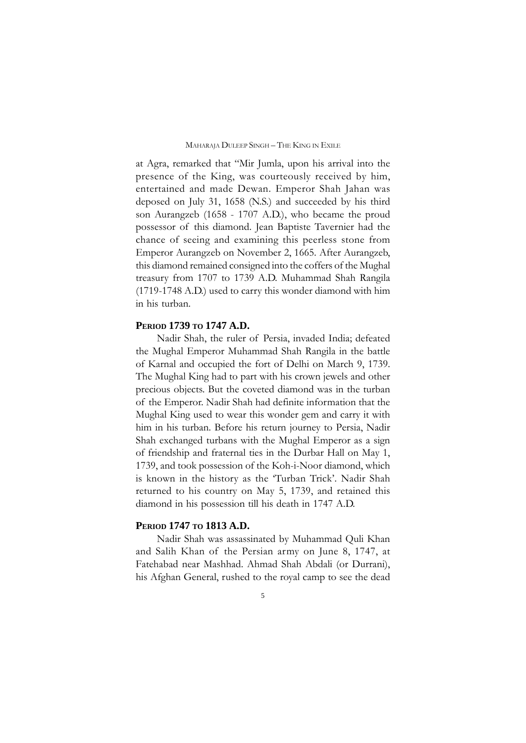at Agra, remarked that "Mir Jumla, upon his arrival into the presence of the King, was courteously received by him, entertained and made Dewan. Emperor Shah Jahan was deposed on July 31, 1658 (N.S.) and succeeded by his third son Aurangzeb (1658 - 1707 A.D.), who became the proud possessor of this diamond. Jean Baptiste Tavernier had the chance of seeing and examining this peerless stone from Emperor Aurangzeb on November 2, 1665. After Aurangzeb, this diamond remained consigned into the coffers of the Mughal treasury from 1707 to 1739 A.D. Muhammad Shah Rangila (1719-1748 A.D.) used to carry this wonder diamond with him in his turban.

### **PERIOD 1739 TO 1747 A.D.**

Nadir Shah, the ruler of Persia, invaded India; defeated the Mughal Emperor Muhammad Shah Rangila in the battle of Karnal and occupied the fort of Delhi on March 9, 1739. The Mughal King had to part with his crown jewels and other precious objects. But the coveted diamond was in the turban of the Emperor. Nadir Shah had definite information that the Mughal King used to wear this wonder gem and carry it with him in his turban. Before his return journey to Persia, Nadir Shah exchanged turbans with the Mughal Emperor as a sign of friendship and fraternal ties in the Durbar Hall on May 1, 1739, and took possession of the Koh-i-Noor diamond, which is known in the history as the 'Turban Trick'. Nadir Shah returned to his country on May 5, 1739, and retained this diamond in his possession till his death in 1747 A.D.

### **PERIOD 1747 TO 1813 A.D.**

Nadir Shah was assassinated by Muhammad Quli Khan and Salih Khan of the Persian army on June 8, 1747, at Fatehabad near Mashhad. Ahmad Shah Abdali (or Durrani), his Afghan General, rushed to the royal camp to see the dead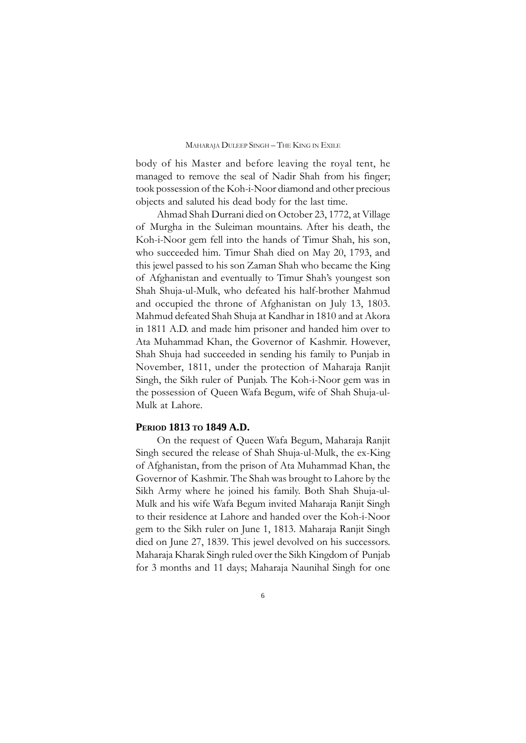body of his Master and before leaving the royal tent, he managed to remove the seal of Nadir Shah from his finger; took possession of the Koh-i-Noor diamond and other precious objects and saluted his dead body for the last time.

Ahmad Shah Durrani died on October 23, 1772, at Village of Murgha in the Suleiman mountains. After his death, the Koh-i-Noor gem fell into the hands of Timur Shah, his son, who succeeded him. Timur Shah died on May 20, 1793, and this jewel passed to his son Zaman Shah who became the King of Afghanistan and eventually to Timur Shah's youngest son Shah Shuja-ul-Mulk, who defeated his half-brother Mahmud and occupied the throne of Afghanistan on July 13, 1803. Mahmud defeated Shah Shuja at Kandhar in 1810 and at Akora in 1811 A.D. and made him prisoner and handed him over to Ata Muhammad Khan, the Governor of Kashmir. However, Shah Shuja had succeeded in sending his family to Punjab in November, 1811, under the protection of Maharaja Ranjit Singh, the Sikh ruler of Punjab. The Koh-i-Noor gem was in the possession of Queen Wafa Begum, wife of Shah Shuja-ul-Mulk at Lahore.

### **PERIOD 1813 TO 1849 A.D.**

On the request of Queen Wafa Begum, Maharaja Ranjit Singh secured the release of Shah Shuja-ul-Mulk, the ex-King of Afghanistan, from the prison of Ata Muhammad Khan, the Governor of Kashmir. The Shah was brought to Lahore by the Sikh Army where he joined his family. Both Shah Shuja-ul-Mulk and his wife Wafa Begum invited Maharaja Ranjit Singh to their residence at Lahore and handed over the Koh-i-Noor gem to the Sikh ruler on June 1, 1813. Maharaja Ranjit Singh died on June 27, 1839. This jewel devolved on his successors. Maharaja Kharak Singh ruled over the Sikh Kingdom of Punjab for 3 months and 11 days; Maharaja Naunihal Singh for one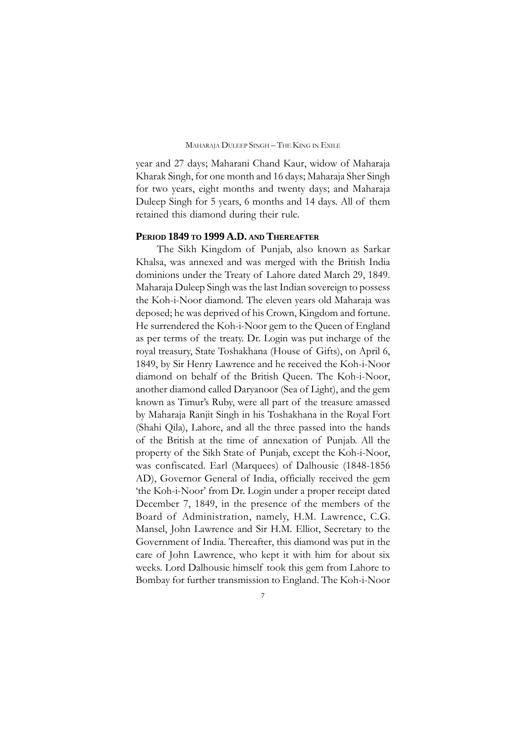year and 27 days; Maharani Chand Kaur, widow of Maharaja Kharak Singh, for one month and 16 days; Maharaja Sher Singh for two years, eight months and twenty days; and Maharaja Duleep Singh for 5 years, 6 months and 14 days. All of them retained this diamond during their rule.

### **PERIOD 1849 TO 1999 A.D. AND THEREAFTER**

The Sikh Kingdom of Punjab, also known as Sarkar Khalsa, was annexed and was merged with the British India dominions under the Treaty of Lahore dated March 29, 1849. Maharaja Duleep Singh was the last Indian sovereign to possess the Koh-i-Noor diamond. The eleven years old Maharaja was deposed; he was deprived of his Crown, Kingdom and fortune. He surrendered the Koh-i-Noor gem to the Queen of England as per terms of the treaty. Dr. Login was put incharge of the royal treasury, State Toshakhana (House of Gifts), on April 6, 1849, by Sir Henry Lawrence and he received the Koh-i-Noor diamond on behalf of the British Queen. The Koh-i-Noor, another diamond called Daryanoor (Sea of Light), and the gem known as Timur's Ruby, were all part of the treasure amassed by Maharaja Ranjit Singh in his Toshakhana in the Royal Fort (Shahi Qila), Lahore, and all the three passed into the hands of the British at the time of annexation of Punjab. All the property of the Sikh State of Punjab, except the Koh-i-Noor, was confiscated. Earl (Marquees) of Dalhousie (1848-1856 AD), Governor General of India, officially received the gem 'the Koh-i-Noor' from Dr. Login under a proper receipt dated December 7, 1849, in the presence of the members of the Board of Administration, namely, H.M. Lawrence, C.G. Mansel, John Lawrence and Sir H.M. Elliot, Secretary to the Government of India. Thereafter, this diamond was put in the care of John Lawrence, who kept it with him for about six weeks. Lord Dalhousie himself took this gem from Lahore to Bombay for further transmission to England. The Koh-i-Noor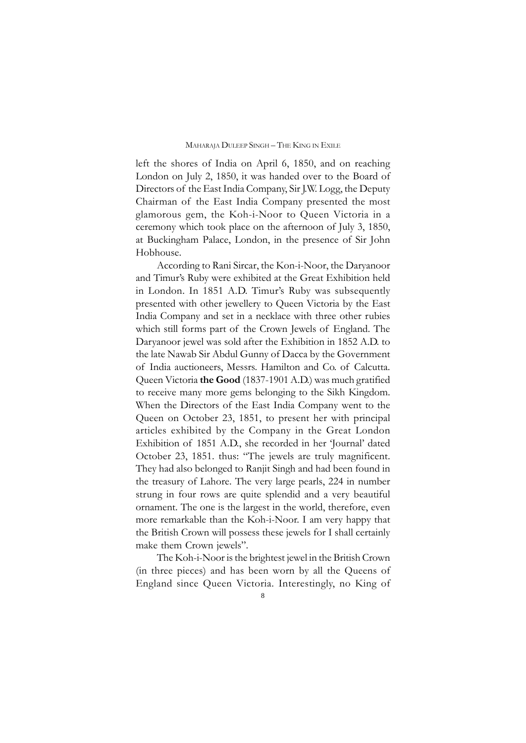left the shores of India on April 6, 1850, and on reaching London on July 2, 1850, it was handed over to the Board of Directors of the East India Company, Sir J.W. Logg, the Deputy Chairman of the East India Company presented the most glamorous gem, the Koh-i-Noor to Queen Victoria in a ceremony which took place on the afternoon of July 3, 1850, at Buckingham Palace, London, in the presence of Sir John Hobhouse.

According to Rani Sircar, the Kon-i-Noor, the Daryanoor and Timur's Ruby were exhibited at the Great Exhibition held in London. In 1851 A.D. Timur's Ruby was subsequently presented with other jewellery to Queen Victoria by the East India Company and set in a necklace with three other rubies which still forms part of the Crown Jewels of England. The Daryanoor jewel was sold after the Exhibition in 1852 A.D. to the late Nawab Sir Abdul Gunny of Dacca by the Government of India auctioneers, Messrs. Hamilton and Co. of Calcutta. Queen Victoria **the Good** (1837-1901 A.D.) was much gratified to receive many more gems belonging to the Sikh Kingdom. When the Directors of the East India Company went to the Queen on October 23, 1851, to present her with principal articles exhibited by the Company in the Great London Exhibition of 1851 A.D., she recorded in her 'Journal' dated October 23, 1851. thus: "The jewels are truly magnificent. They had also belonged to Ranjit Singh and had been found in the treasury of Lahore. The very large pearls, 224 in number strung in four rows are quite splendid and a very beautiful ornament. The one is the largest in the world, therefore, even more remarkable than the Koh-i-Noor. I am very happy that the British Crown will possess these jewels for I shall certainly make them Crown jewels".

The Koh-i-Noor is the brightest jewel in the British Crown (in three pieces) and has been worn by all the Queens of England since Queen Victoria. Interestingly, no King of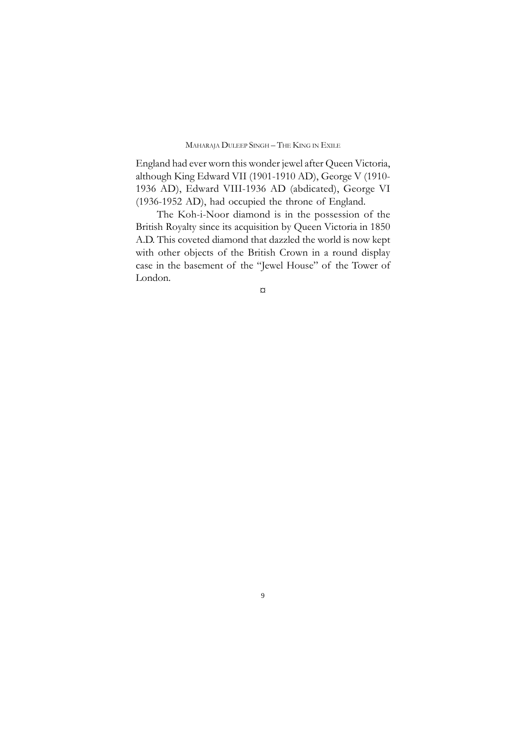England had ever worn this wonder jewel after Queen Victoria, although King Edward VII (1901-1910 AD), George V (1910- 1936 AD), Edward VIII-1936 AD (abdicated), George VI (1936-1952 AD), had occupied the throne of England.

The Koh-i-Noor diamond is in the possession of the British Royalty since its acquisition by Queen Victoria in 1850 A.D. This coveted diamond that dazzled the world is now kept with other objects of the British Crown in a round display case in the basement of the "Jewel House" of the Tower of London.

¤